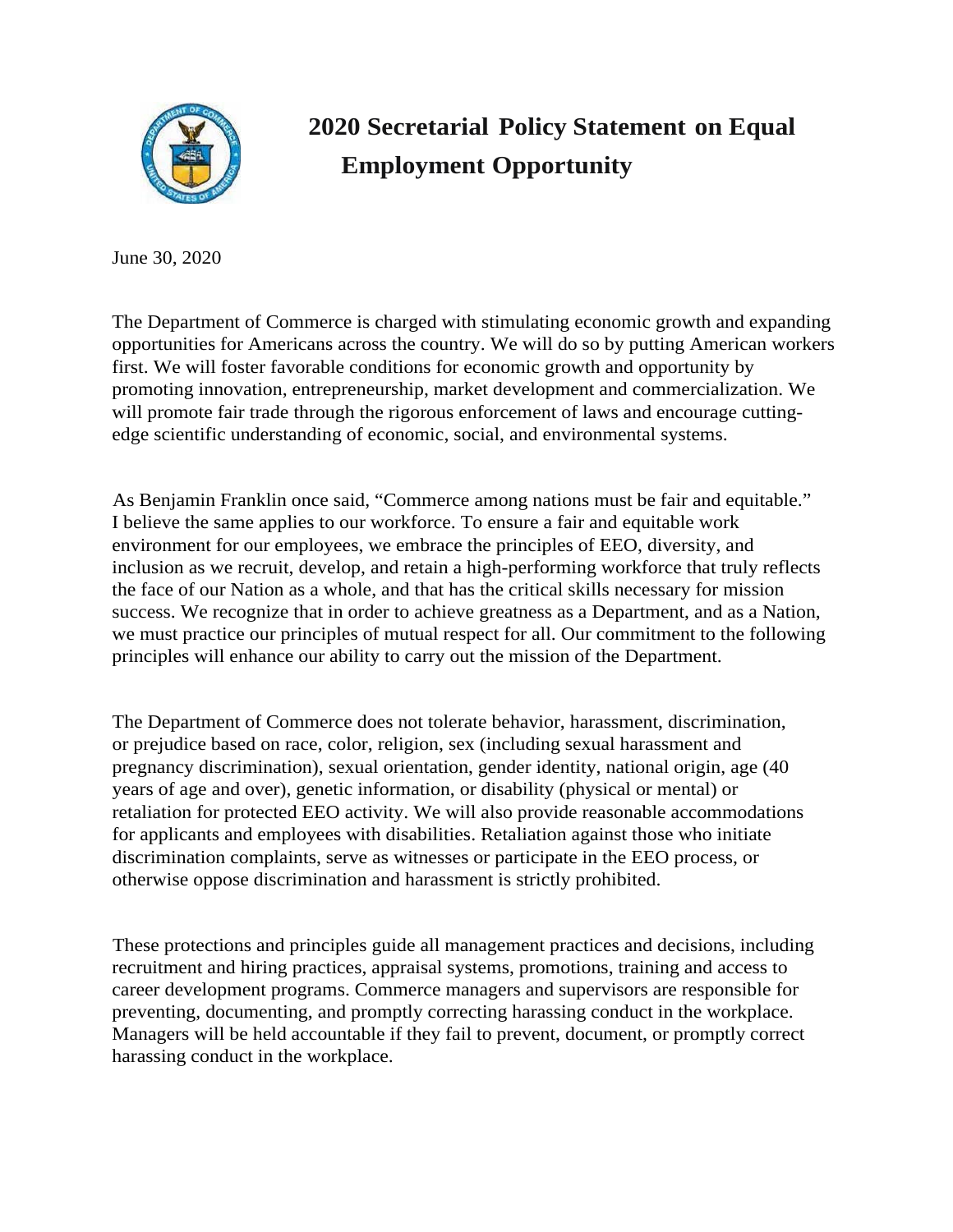

## **2020 Secretarial Policy Statement on Equal Employment Opportunity**

June 30, 2020

The Department of Commerce is charged with stimulating economic growth and expanding opportunities for Americans across the country. We will do so by putting American workers first. We will foster favorable conditions for economic growth and opportunity by promoting innovation, entrepreneurship, market development and commercialization. We will promote fair trade through the rigorous enforcement of laws and encourage cuttingedge scientific understanding of economic, social, and environmental systems.

As Benjamin Franklin once said, "Commerce among nations must be fair and equitable." I believe the same applies to our workforce. To ensure a fair and equitable work environment for our employees, we embrace the principles of EEO, diversity, and inclusion as we recruit, develop, and retain a high-performing workforce that truly reflects the face of our Nation as a whole, and that has the critical skills necessary for mission success. We recognize that in order to achieve greatness as a Department, and as a Nation, we must practice our principles of mutual respect for all. Our commitment to the following principles will enhance our ability to carry out the mission of the Department.

The Department of Commerce does not tolerate behavior, harassment, discrimination, or prejudice based on race, color, religion, sex (including sexual harassment and pregnancy discrimination), sexual orientation, gender identity, national origin, age (40 years of age and over), genetic information, or disability (physical or mental) or retaliation for protected EEO activity. We will also provide reasonable accommodations for applicants and employees with disabilities. Retaliation against those who initiate discrimination complaints, serve as witnesses or participate in the EEO process, or otherwise oppose discrimination and harassment is strictly prohibited.

These protections and principles guide all management practices and decisions, including recruitment and hiring practices, appraisal systems, promotions, training and access to career development programs. Commerce managers and supervisors are responsible for preventing, documenting, and promptly correcting harassing conduct in the workplace. Managers will be held accountable if they fail to prevent, document, or promptly correct harassing conduct in the workplace.